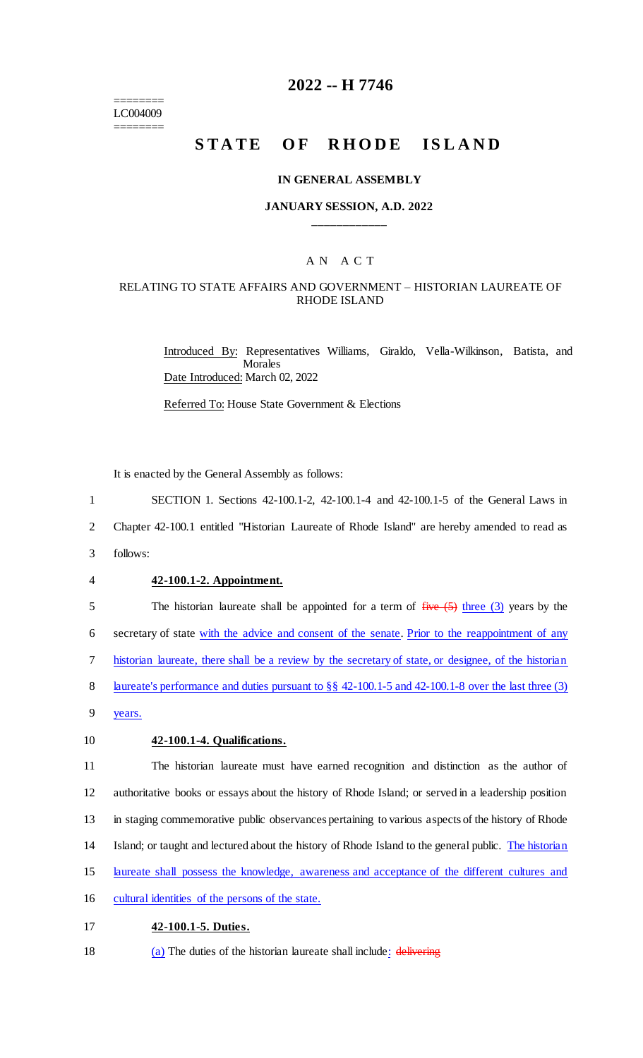======== LC004009 ========

# **2022 -- H 7746**

# **STATE OF RHODE ISLAND**

#### **IN GENERAL ASSEMBLY**

#### **JANUARY SESSION, A.D. 2022 \_\_\_\_\_\_\_\_\_\_\_\_**

# A N A C T

### RELATING TO STATE AFFAIRS AND GOVERNMENT – HISTORIAN LAUREATE OF RHODE ISLAND

Introduced By: Representatives Williams, Giraldo, Vella-Wilkinson, Batista, and **Morales** Date Introduced: March 02, 2022

Referred To: House State Government & Elections

It is enacted by the General Assembly as follows:

1 SECTION 1. Sections 42-100.1-2, 42-100.1-4 and 42-100.1-5 of the General Laws in

2 Chapter 42-100.1 entitled "Historian Laureate of Rhode Island" are hereby amended to read as

- 3 follows:
- 

#### 4 **42-100.1-2. Appointment.**

5 The historian laureate shall be appointed for a term of  $f^2$  is  $f^2$  (5) three (3) years by the

6 secretary of state with the advice and consent of the senate. Prior to the reappointment of any

7 historian laureate, there shall be a review by the secretary of state, or designee, of the historian

8 laureate's performance and duties pursuant to §§ 42-100.1-5 and 42-100.1-8 over the last three (3)

9 years.

#### 10 **42-100.1-4. Qualifications.**

 The historian laureate must have earned recognition and distinction as the author of authoritative books or essays about the history of Rhode Island; or served in a leadership position in staging commemorative public observances pertaining to various aspects of the history of Rhode Island; or taught and lectured about the history of Rhode Island to the general public. The historian

15 laureate shall possess the knowledge, awareness and acceptance of the different cultures and

16 cultural identities of the persons of the state.

#### 17 **42-100.1-5. Duties.**

18 (a) The duties of the historian laureate shall include: delivering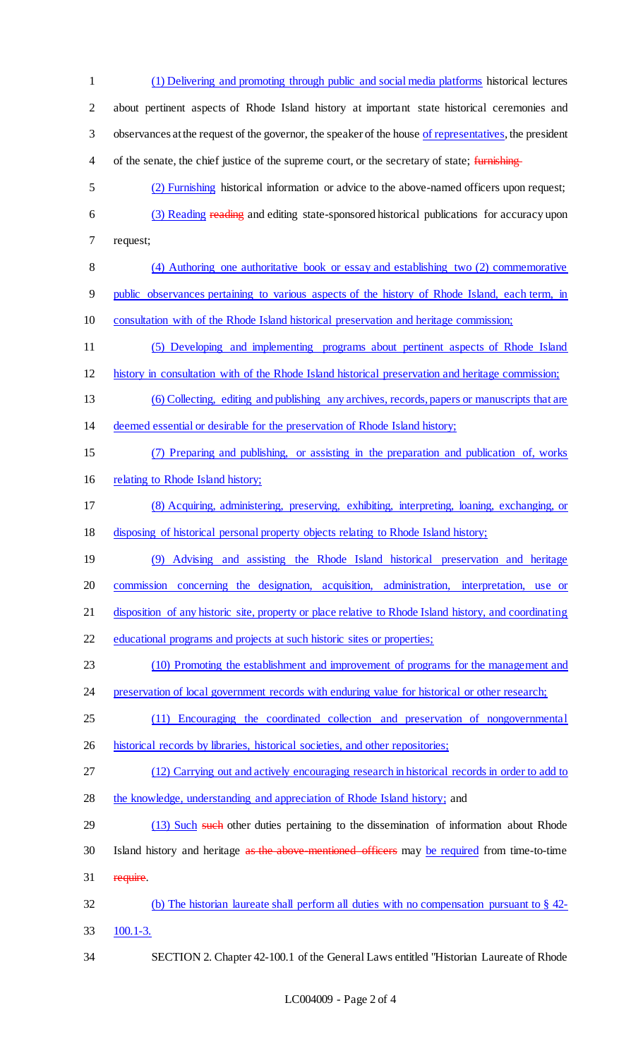(1) Delivering and promoting through public and social media platforms historical lectures about pertinent aspects of Rhode Island history at important state historical ceremonies and observances at the request of the governor, the speaker of the house of representatives, the president 4 of the senate, the chief justice of the supreme court, or the secretary of state; furnishing (2) Furnishing historical information or advice to the above-named officers upon request; (3) Reading reading and editing state-sponsored historical publications for accuracy upon request; (4) Authoring one authoritative book or essay and establishing two (2) commemorative public observances pertaining to various aspects of the history of Rhode Island, each term, in consultation with of the Rhode Island historical preservation and heritage commission; (5) Developing and implementing programs about pertinent aspects of Rhode Island history in consultation with of the Rhode Island historical preservation and heritage commission; (6) Collecting, editing and publishing any archives, records, papers or manuscripts that are deemed essential or desirable for the preservation of Rhode Island history; (7) Preparing and publishing, or assisting in the preparation and publication of, works relating to Rhode Island history; (8) Acquiring, administering, preserving, exhibiting, interpreting, loaning, exchanging, or disposing of historical personal property objects relating to Rhode Island history; (9) Advising and assisting the Rhode Island historical preservation and heritage commission concerning the designation, acquisition, administration, interpretation, use or 21 disposition of any historic site, property or place relative to Rhode Island history, and coordinating educational programs and projects at such historic sites or properties; (10) Promoting the establishment and improvement of programs for the management and 24 preservation of local government records with enduring value for historical or other research; (11) Encouraging the coordinated collection and preservation of nongovernmental historical records by libraries, historical societies, and other repositories; (12) Carrying out and actively encouraging research in historical records in order to add to the knowledge, understanding and appreciation of Rhode Island history; and 29 (13) Such such other duties pertaining to the dissemination of information about Rhode 30 Island history and heritage as the above-mentioned officers may be required from time-to-time require. (b) The historian laureate shall perform all duties with no compensation pursuant to § 42- 100.1-3. SECTION 2. Chapter 42-100.1 of the General Laws entitled "Historian Laureate of Rhode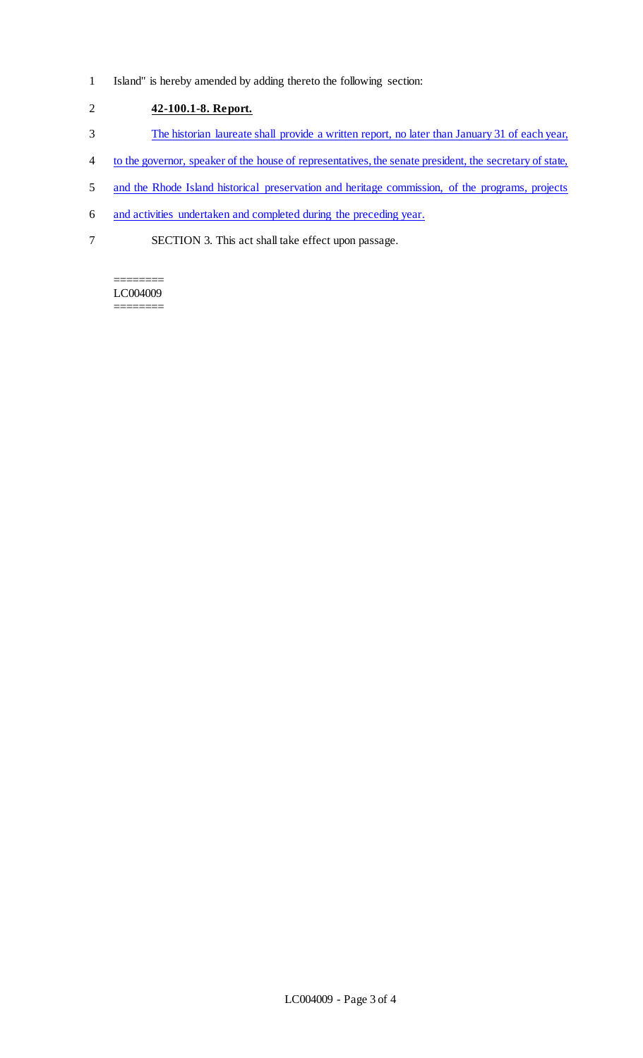1 Island" is hereby amended by adding thereto the following section:

2 **42-100.1-8. Report.** 

- 3 The historian laureate shall provide a written report, no later than January 31 of each year,
- 4 to the governor, speaker of the house of representatives, the senate president, the secretary of state,
- 5 and the Rhode Island historical preservation and heritage commission, of the programs, projects
- 6 and activities undertaken and completed during the preceding year.
- 7 SECTION 3. This act shall take effect upon passage.

======== LC004009 ========